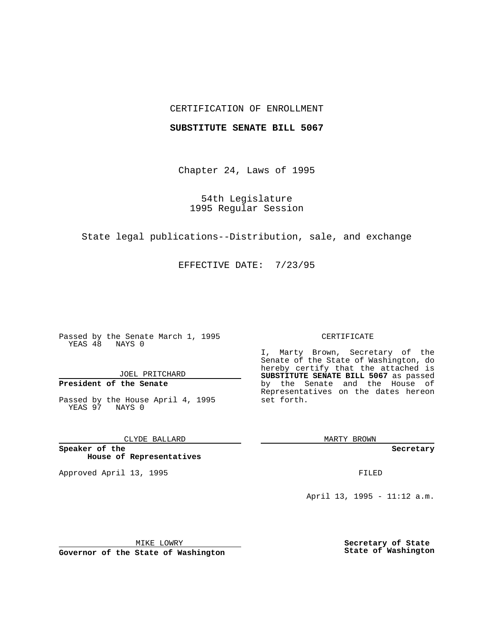## CERTIFICATION OF ENROLLMENT

## **SUBSTITUTE SENATE BILL 5067**

Chapter 24, Laws of 1995

54th Legislature 1995 Regular Session

State legal publications--Distribution, sale, and exchange

EFFECTIVE DATE: 7/23/95

Passed by the Senate March 1, 1995 YEAS 48 NAYS 0

JOEL PRITCHARD

# **President of the Senate**

Passed by the House April 4, 1995 YEAS 97 NAYS 0

CLYDE BALLARD

**Speaker of the House of Representatives**

Approved April 13, 1995 FILED

#### CERTIFICATE

I, Marty Brown, Secretary of the Senate of the State of Washington, do hereby certify that the attached is **SUBSTITUTE SENATE BILL 5067** as passed by the Senate and the House of Representatives on the dates hereon set forth.

MARTY BROWN

**Secretary**

April 13, 1995 - 11:12 a.m.

MIKE LOWRY

**Secretary of State State of Washington**

**Governor of the State of Washington**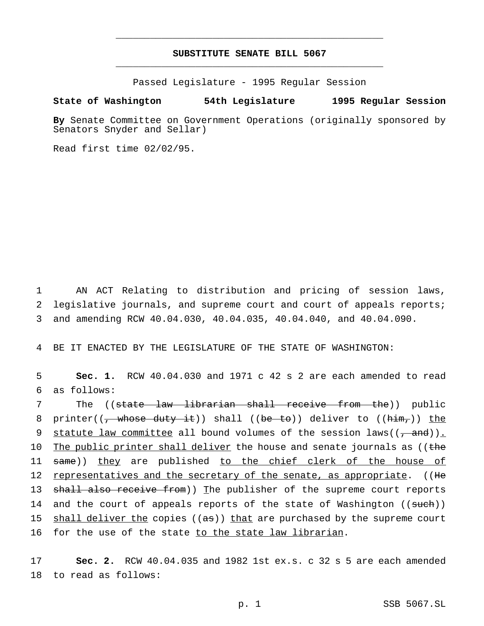## **SUBSTITUTE SENATE BILL 5067** \_\_\_\_\_\_\_\_\_\_\_\_\_\_\_\_\_\_\_\_\_\_\_\_\_\_\_\_\_\_\_\_\_\_\_\_\_\_\_\_\_\_\_\_\_\_\_

\_\_\_\_\_\_\_\_\_\_\_\_\_\_\_\_\_\_\_\_\_\_\_\_\_\_\_\_\_\_\_\_\_\_\_\_\_\_\_\_\_\_\_\_\_\_\_

Passed Legislature - 1995 Regular Session

### **State of Washington 54th Legislature 1995 Regular Session**

**By** Senate Committee on Government Operations (originally sponsored by Senators Snyder and Sellar)

Read first time 02/02/95.

1 AN ACT Relating to distribution and pricing of session laws, 2 legislative journals, and supreme court and court of appeals reports; 3 and amending RCW 40.04.030, 40.04.035, 40.04.040, and 40.04.090.

4 BE IT ENACTED BY THE LEGISLATURE OF THE STATE OF WASHINGTON:

5 **Sec. 1.** RCW 40.04.030 and 1971 c 42 s 2 are each amended to read 6 as follows:

7 The ((state law librarian shall receive from the)) public 8 printer((<del>, whose duty it</del>)) shall ((be to)) deliver to (( $\frac{him_r}{h_{\text{min}}})$  the 9 statute law committee all bound volumes of the session laws( $(\tau$  and)). 10 The public printer shall deliver the house and senate journals as ((the 11 same)) they are published to the chief clerk of the house of 12 representatives and the secretary of the senate, as appropriate. ((He 13 shall also receive from)) The publisher of the supreme court reports 14 and the court of appeals reports of the state of Washington ((such)) 15 shall deliver the copies ((as)) that are purchased by the supreme court 16 for the use of the state to the state law librarian.

17 **Sec. 2.** RCW 40.04.035 and 1982 1st ex.s. c 32 s 5 are each amended 18 to read as follows: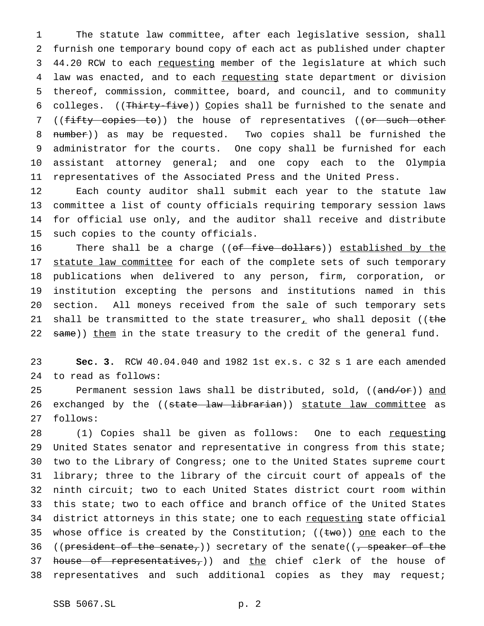1 The statute law committee, after each legislative session, shall 2 furnish one temporary bound copy of each act as published under chapter 3 44.20 RCW to each requesting member of the legislature at which such 4 law was enacted, and to each requesting state department or division 5 thereof, commission, committee, board, and council, and to community 6 colleges. ((Thirty-five)) Copies shall be furnished to the senate and 7 ((fifty copies to)) the house of representatives ((or such other 8 number)) as may be requested. Two copies shall be furnished the 9 administrator for the courts. One copy shall be furnished for each 10 assistant attorney general; and one copy each to the Olympia 11 representatives of the Associated Press and the United Press.

 Each county auditor shall submit each year to the statute law committee a list of county officials requiring temporary session laws for official use only, and the auditor shall receive and distribute such copies to the county officials.

16 There shall be a charge ((of five dollars)) established by the 17 statute law committee for each of the complete sets of such temporary 18 publications when delivered to any person, firm, corporation, or 19 institution excepting the persons and institutions named in this 20 section. All moneys received from the sale of such temporary sets 21 shall be transmitted to the state treasurer<sub> $<sub>L</sub>$ </sub> who shall deposit ((the</sub> 22 same)) them in the state treasury to the credit of the general fund.

23 **Sec. 3.** RCW 40.04.040 and 1982 1st ex.s. c 32 s 1 are each amended 24 to read as follows:

25 Permanent session laws shall be distributed, sold, ((and/or)) and 26 exchanged by the ((state law librarian)) statute law committee as 27 follows:

28 (1) Copies shall be given as follows: One to each requesting 29 United States senator and representative in congress from this state; 30 two to the Library of Congress; one to the United States supreme court 31 library; three to the library of the circuit court of appeals of the 32 ninth circuit; two to each United States district court room within 33 this state; two to each office and branch office of the United States 34 district attorneys in this state; one to each requesting state official 35 whose office is created by the Constitution; ( $(\text{two})$ ) one each to the 36 ((president of the senate,)) secretary of the senate( $\frac{1}{2}$ , speaker of the 37 house of representatives,)) and the chief clerk of the house of 38 representatives and such additional copies as they may request;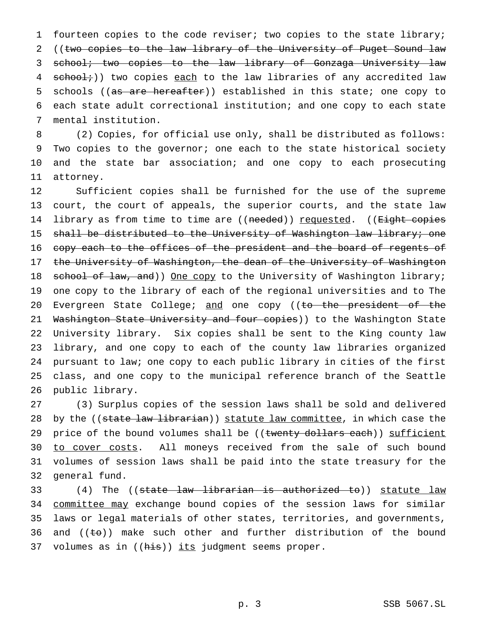1 fourteen copies to the code reviser; two copies to the state library; 2 ((two copies to the law library of the University of Puget Sound law 3 school; two copies to the law library of Gonzaga University law 4 school;)) two copies each to the law libraries of any accredited law 5 schools ((as are hereafter)) established in this state; one copy to 6 each state adult correctional institution; and one copy to each state 7 mental institution.

8 (2) Copies, for official use only, shall be distributed as follows: 9 Two copies to the governor; one each to the state historical society 10 and the state bar association; and one copy to each prosecuting 11 attorney.

12 Sufficient copies shall be furnished for the use of the supreme 13 court, the court of appeals, the superior courts, and the state law 14 library as from time to time are ((needed)) requested. ((Eight copies 15 shall be distributed to the University of Washington law library; one 16 copy each to the offices of the president and the board of regents of 17 the University of Washington, the dean of the University of Washington 18 school of law, and)) One copy to the University of Washington library; 19 one copy to the library of each of the regional universities and to The 20 Evergreen State College; and one copy ((to the president of the 21 Washington State University and four copies)) to the Washington State 22 University library. Six copies shall be sent to the King county law 23 library, and one copy to each of the county law libraries organized 24 pursuant to law; one copy to each public library in cities of the first 25 class, and one copy to the municipal reference branch of the Seattle 26 public library.

27 (3) Surplus copies of the session laws shall be sold and delivered 28 by the ((state law librarian)) statute law committee, in which case the 29 price of the bound volumes shall be ((twenty dollars each)) sufficient 30 to cover costs. All moneys received from the sale of such bound 31 volumes of session laws shall be paid into the state treasury for the 32 general fund.

33 (4) The ((state law librarian is authorized to)) statute law 34 committee may exchange bound copies of the session laws for similar 35 laws or legal materials of other states, territories, and governments, 36 and  $((\pm \theta))$  make such other and further distribution of the bound 37 volumes as in  $((his))$  its judgment seems proper.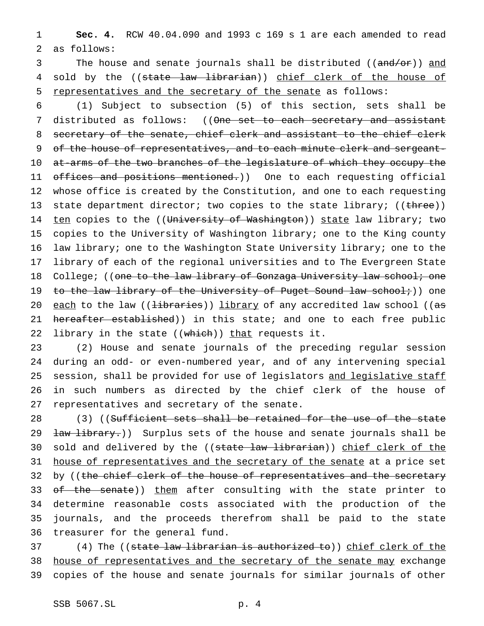1 **Sec. 4.** RCW 40.04.090 and 1993 c 169 s 1 are each amended to read 2 as follows:

3 The house and senate journals shall be distributed ((and/or)) and 4 sold by the ((state law librarian)) chief clerk of the house of 5 representatives and the secretary of the senate as follows:

6 (1) Subject to subsection (5) of this section, sets shall be 7 distributed as follows: ((One set to each secretary and assistant 8 secretary of the senate, chief clerk and assistant to the chief clerk 9 of the house of representatives, and to each minute clerk and sergeant-10 at-arms of the two branches of the legislature of which they occupy the 11 offices and positions mentioned.)) One to each requesting official 12 whose office is created by the Constitution, and one to each requesting 13 state department director; two copies to the state library; ((three)) 14 ten copies to the ((University of Washington)) state law library; two 15 copies to the University of Washington library; one to the King county 16 law library; one to the Washington State University library; one to the 17 library of each of the regional universities and to The Evergreen State 18 College; ((one to the law library of Gonzaga University law school; one 19 to the law library of the University of Puget Sound law school; ) one 20 each to the law ((<del>libraries</del>)) library of any accredited law school ((as 21 hereafter established)) in this state; and one to each free public 22 library in the state  $((which))$  that requests it.

 (2) House and senate journals of the preceding regular session during an odd- or even-numbered year, and of any intervening special 25 session, shall be provided for use of legislators and legislative staff in such numbers as directed by the chief clerk of the house of representatives and secretary of the senate.

28 (3) ((Sufficient sets shall be retained for the use of the state 29 <del>law library.</del>)) Surplus sets of the house and senate journals shall be 30 sold and delivered by the ((state law librarian)) chief clerk of the 31 house of representatives and the secretary of the senate at a price set 32 by ((the chief clerk of the house of representatives and the secretary 33 <del>of the senate</del>)) them after consulting with the state printer to 34 determine reasonable costs associated with the production of the 35 journals, and the proceeds therefrom shall be paid to the state 36 treasurer for the general fund.

37 (4) The ((state law librarian is authorized to)) chief clerk of the 38 house of representatives and the secretary of the senate may exchange 39 copies of the house and senate journals for similar journals of other